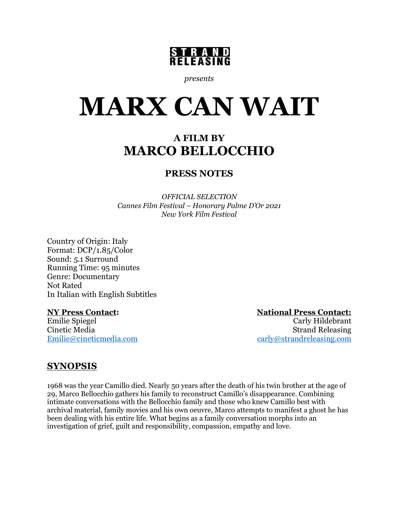

*presents*

# **MARX CAN WAIT**

# **A FILM BY MARCO BELLOCCHIO**

## **PRESS NOTES**

*OFFICIAL SELECTION Cannes Film Festival – Honorary Palme D'Or 2021 New York Film Festival*

Country of Origin: Italy Format: DCP/1.85/Color Sound: 5.1 Surround Running Time: 95 minutes Genre: Documentary Not Rated In Italian with English Subtitles

**NY Press Contact:** National Press Contact:<br>
Emilie Spiegel Carly Hildebrant Emilie Spiegel Carly Hildebrant **Strand Releasing** Emilie@cineticmedia.com carly@strandreleasing.com

## **SYNOPSIS**

1968 was the year Camillo died. Nearly 50 years after the death of his twin brother at the age of 29, Marco Bellocchio gathers his family to reconstruct Camillo's disappearance. Combining intimate conversations with the Bellocchio family and those who knew Camillo best with archival material, family movies and his own oeuvre, Marco attempts to manifest a ghost he has been dealing with his entire life. What begins as a family conversation morphs into an investigation of grief, guilt and responsibility, compassion, empathy and love.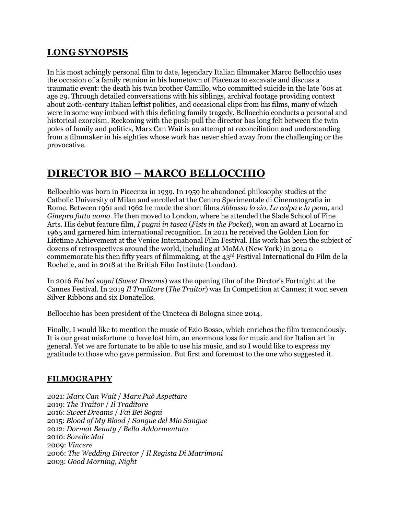### **LONG SYNOPSIS**

In his most achingly personal film to date, legendary Italian filmmaker Marco Bellocchio uses the occasion of a family reunion in his hometown of Piacenza to excavate and discuss a traumatic event: the death his twin brother Camillo, who committed suicide in the late '60s at age 29. Through detailed conversations with his siblings, archival footage providing context about 20th-century Italian leftist politics, and occasional clips from his films, many of which were in some way imbued with this defining family tragedy, Bellocchio conducts a personal and historical exorcism. Reckoning with the push-pull the director has long felt between the twin poles of family and politics, Marx Can Wait is an attempt at reconciliation and understanding from a filmmaker in his eighties whose work has never shied away from the challenging or the provocative.

# **DIRECTOR BIO – MARCO BELLOCCHIO**

Bellocchio was born in Piacenza in 1939. In 1959 he abandoned philosophy studies at the Catholic University of Milan and enrolled at the Centro Sperimentale di Cinematografia in Rome. Between 1961 and 1962 he made the short films *Abbasso lo zio, La colpa e la pena,* and *Ginepro fatto uomo.* He then moved to London, where he attended the Slade School of Fine Arts. His debut feature film, *I pugni in tasca* (*Fists in the Pocket*), won an award at Locarno in 1965 and garnered him international recognition. In 2011 he received the Golden Lion for Lifetime Achievement at the Venice International Film Festival. His work has been the subject of dozens of retrospectives around the world, including at MoMA (New York) in 2014 o commemorate his then fifty years of filmmaking, at the 43rd Festival International du Film de la Rochelle, and in 2018 at the British Film Institute (London).

In 2016 *Fai bei sogni* (*Sweet Dreams*) was the opening film of the Dirctor's Fortnight at the Cannes Festival. In 2019 *Il Traditore* (*The Traitor*) was In Competition at Cannes; it won seven Silver Ribbons and six Donatellos.

Bellocchio has been president of the Cineteca di Bologna since 2014.

Finally, I would like to mention the music of Ezio Bosso, which enriches the film tremendously. It is our great misfortune to have lost him, an enormous loss for music and for Italian art in general. Yet we are fortunate to be able to use his music, and so I would like to express my gratitude to those who gave permission. But first and foremost to the one who suggested it.

#### **FILMOGRAPHY**

2021: *Marx Can Wait* / *Marx Può Aspettare* 2019: *The Traitor* / *Il Traditore* 2016: *Sweet Dreams* / *Fai Bei Sogni* 2015: *Blood of My Blood* / *Sangue del Mio Sangue* 2012: *Dormat Beauty / Bella Addormentata* 2010: *Sorelle Mai* 2009: *Vincere* 2006: *The Wedding Director* / *Il Regista Di Matrimoni* 2003: *Good Morning, Night*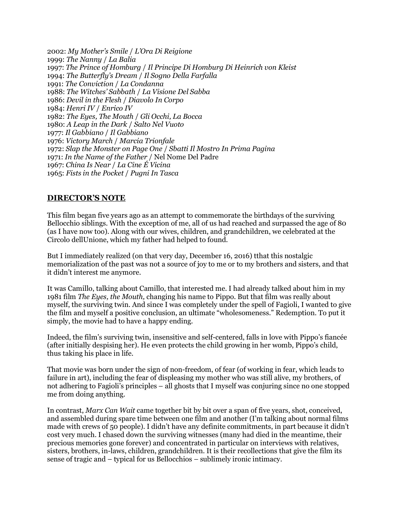2002: *My Mother's Smile* / *L'Ora Di Reigione* 1999: *The Nanny* / *La Balia* 1997: *The Prince of Homburg* / *Il Principe Di Homburg Di Heinrich von Kleist* 1994: *The Butterfly's Dream* / *Il Sogno Della Farfalla* 1991: *The Conviction* / *La Condanna* 1988: *The Witches' Sabbath* / *La Visione Del Sabba* 1986: *Devil in the Flesh* / *Diavolo In Corpo* 1984: *Henri IV* / *Enrico IV* 1982: *The Eyes, The Mouth* / *Gli Occhi, La Bocca* 1980: *A Leap in the Dark* / *Salto Nel Vuoto* 1977: *Il Gabbiano* / *Il Gabbiano* 1976: *Victory March* / *Marcia Trionfale* 1972: *Slap the Monster on Page One* / *Sbatti Il Mostro In Prima Pagina* 1971: *In the Name of the Father* / Nel Nome Del Padre 1967: *China Is Near* / *La Cine É Vicina* 1965: *Fists in the Pocket* / *Pugni In Tasca*

#### **DIRECTOR'S NOTE**

This film began five years ago as an attempt to commemorate the birthdays of the surviving Bellocchio siblings. With the exception of me, all of us had reached and surpassed the age of 80 (as I have now too). Along with our wives, children, and grandchildren, we celebrated at the Circolo dellUnione, which my father had helped to found.

But I immediately realized (on that very day, December 16, 2016) tthat this nostalgic memorialization of the past was not a source of joy to me or to my brothers and sisters, and that it didn't interest me anymore.

It was Camillo, talking about Camillo, that interested me. I had already talked about him in my 1981 film *The Eyes, the Mouth,* changing his name to Pippo. But that film was really about myself, the surviving twin. And since I was completely under the spell of Fagioli, I wanted to give the film and myself a positive conclusion, an ultimate "wholesomeness." Redemption. To put it simply, the movie had to have a happy ending.

Indeed, the film's surviving twin, insensitive and self-centered, falls in love with Pippo's fiancée (after initially despising her). He even protects the child growing in her womb, Pippo's child, thus taking his place in life.

That movie was born under the sign of non-freedom, of fear (of working in fear, which leads to failure in art), including the fear of displeasing my mother who was still alive, my brothers, of not adhering to Fagioli's principles – all ghosts that I myself was conjuring since no one stopped me from doing anything.

In contrast, *Marx Can Wait* came together bit by bit over a span of five years, shot, conceived, and assembled during spare time between one film and another (I'm talking about normal films made with crews of 50 people). I didn't have any definite commitments, in part because it didn't cost very much. I chased down the surviving witnesses (many had died in the meantime, their precious memories gone forever) and concentrated in particular on interviews with relatives, sisters, brothers, in-laws, children, grandchildren. It is their recollections that give the film its sense of tragic and – typical for us Bellocchios – sublimely ironic intimacy.